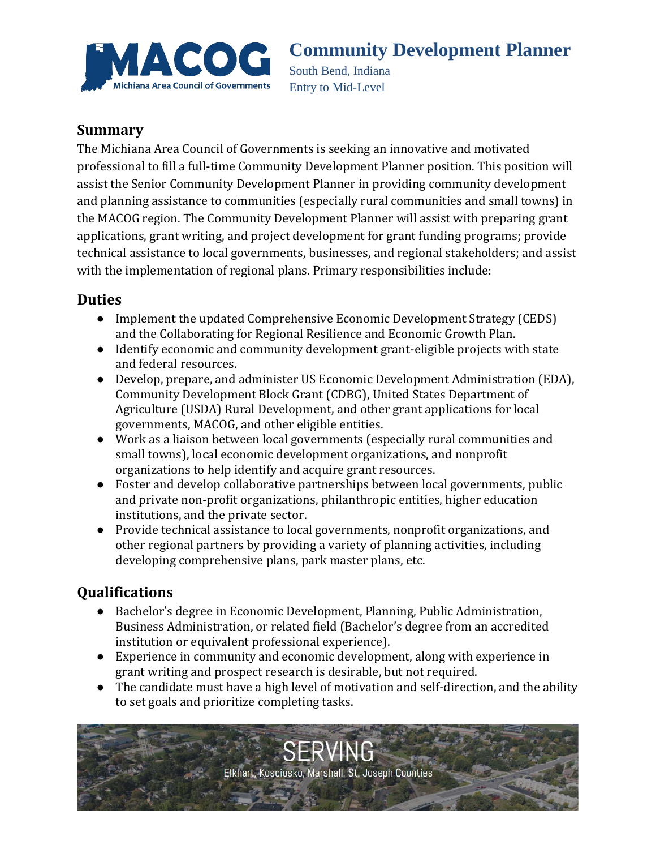

# **Community Development Planner**

South Bend, Indiana Entry to Mid-Level

#### **Summary**

The Michiana Area Council of Governments is seeking an innovative and motivated professional to fill a full-time Community Development Planner position. This position will assist the Senior Community Development Planner in providing community development and planning assistance to communities (especially rural communities and small towns) in the MACOG region. The Community Development Planner will assist with preparing grant applications, grant writing, and project development for grant funding programs; provide technical assistance to local governments, businesses, and regional stakeholders; and assist with the implementation of regional plans. Primary responsibilities include:

#### **Duties**

- Implement the updated Comprehensive Economic Development Strategy (CEDS) and the Collaborating for Regional Resilience and Economic Growth Plan.
- Identify economic and community development grant-eligible projects with state and federal resources.
- Develop, prepare, and administer US Economic Development Administration (EDA), Community Development Block Grant (CDBG), United States Department of Agriculture (USDA) Rural Development, and other grant applications for local governments, MACOG, and other eligible entities.
- Work as a liaison between local governments (especially rural communities and small towns), local economic development organizations, and nonprofit organizations to help identify and acquire grant resources.
- Foster and develop collaborative partnerships between local governments, public and private non-profit organizations, philanthropic entities, higher education institutions, and the private sector.
- Provide technical assistance to local governments, nonprofit organizations, and other regional partners by providing a variety of planning activities, including developing comprehensive plans, park master plans, etc.

### **Qualifications**

- Bachelor's degree in Economic Development, Planning, Public Administration, Business Administration, or related field (Bachelor's degree from an accredited institution or equivalent professional experience).
- Experience in community and economic development, along with experience in grant writing and prospect research is desirable, but not required.
- The candidate must have a high level of motivation and self-direction, and the ability to set goals and prioritize completing tasks.